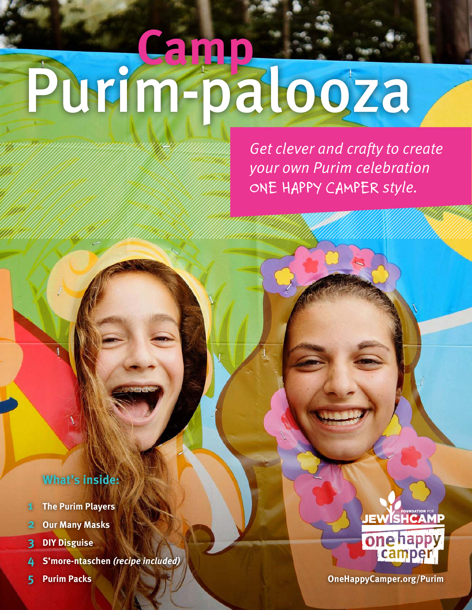## Purim-palooza **Camp**

*Get clever and crafty to create your own Purim celebration ONE HAPPY CAMPER style.*

#### **What's inside:**

- **1 The Purim Players**
- **2 Our Many Masks**
- **3 DIY Disguise**
- **4 S'more-ntaschen** *(recipe included)*
- 



**5 Purim Packs OneHappyCamper.org/Purim**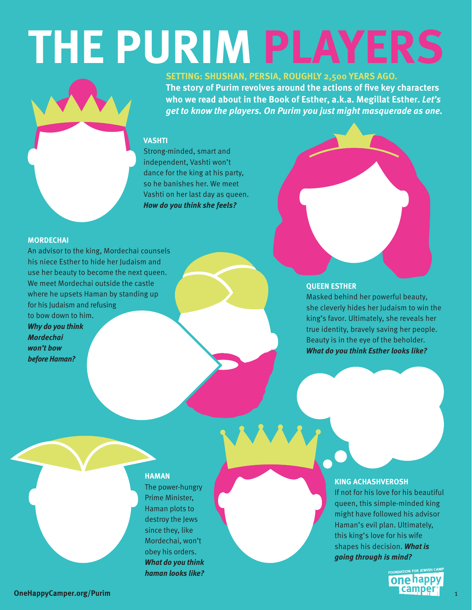## **THE PURIM PLAYERS**



**SETTING: SHUSHAN, PERSIA, ROUGHLY 2,500 YEARS AGO.**

**The story of Purim revolves around the actions of five key characters who we read about in the Book of Esther, a.k.a. Megillat Esther.** *Let's get to know the players. On Purim you just might masquerade as one.*

#### **VASHTI**

Strong-minded, smart and independent, Vashti won't dance for the king at his party, so he banishes her. We meet Vashti on her last day as queen. *How do you think she feels?*

#### **MORDECHAI**

An advisor to the king, Mordechai counsels his niece Esther to hide her Judaism and use her beauty to become the next queen. We meet Mordechai outside the castle where he upsets Haman by standing up for his Judaism and refusing to bow down to him. *Why do you think Mordechai won't bow before Haman?*

#### **QUEEN ESTHER**

Masked behind her powerful beauty, she cleverly hides her Judaism to win the king's favor. Ultimately, she reveals her true identity, bravely saving her people. Beauty is in the eye of the beholder. *What do you think Esther looks like?*

#### **HAMAN**

The power-hungry Prime Minister, Haman plots to destroy the Jews since they, like Mordechai, won't obey his orders. *What do you think haman looks like?* 

#### **KING ACHASHVEROSH**

If not for his love for his beautiful queen, this simple-minded king might have followed his advisor Haman's evil plan. Ultimately, this king's love for his wife shapes his decision. *What is going through is mind?*

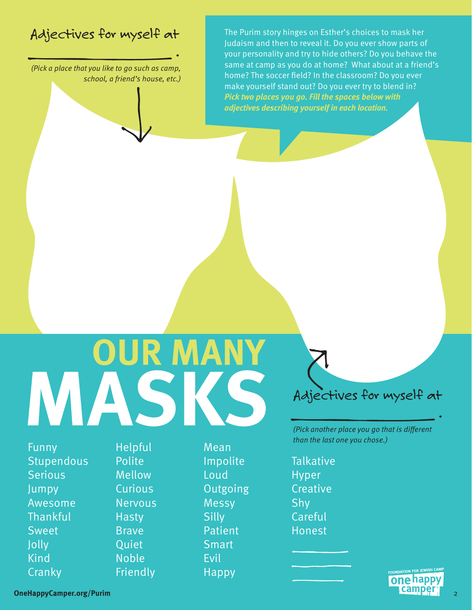#### *Adjectives for myself at*

 *.*

*(Pick a place that you like to go such as camp, school, a friend's house, etc.)* The Purim story hinges on Esther's choices to mask her Judaism and then to reveal it. Do you ever show parts of your personality and try to hide others? Do you behave the same at camp as you do at home? What about at a friend's home? The soccer field? In the classroom? Do you ever make yourself stand out? Do you ever try to blend in? *Pick two places you go. Fill the spaces below with adjectives describing yourself in each location.*

## **OUR MANY** MASKS

Funny Stupendous **Serious** Jumpy Awesome **Thankful** Sweet Jolly Kind **Cranky** 

Helpful Polite Mellow **Curious** Nervous **Hasty** Brave **Ouiet** Noble Friendly

Mean Impolite Loud **Outgoing** Messy **Silly** Patient **Smart** Evil Happy

#### *Adjectives for myself at*

 *.*

*(Pick another place you go that is different than the last one you chose.)*

**Talkative** Hyper **Creative** Shy Careful Honest

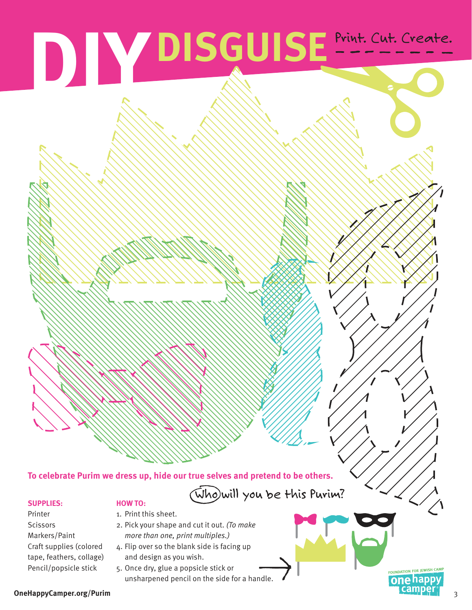# **DIY DISGUISE** Print. Cut. Create.

#### **To celebrate Purim we dress up, hide our true selves and pretend to be others.**

#### **SUPPLIES:**

#### **HOW TO:**

- Printer **Scissors** Markers/Paint Craft supplies (colored tape, feathers, collage) Pencil/popsicle stick
- 1. Print this sheet.
- 2. Pick your shape and cut it out. *(To make more than one, print multiples.)*
- 4. Flip over so the blank side is facing up and design as you wish.
- 5. Once dry, glue a popsicle stick or unsharpened pencil on the side for a handle.

(Who)will you be this Purim?

#### **OneHappyCamper.org/Purim** 3

FOUNDATION FOR JEWISH CAM onehappy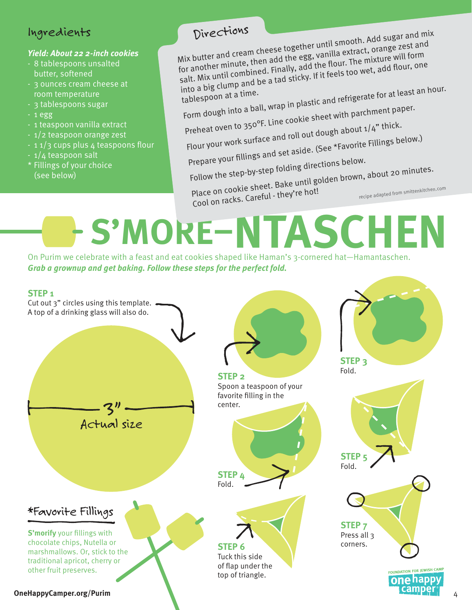#### *Ingredients*

#### *Yield: About 22 2-inch cookies*

- 8 tablespoons unsalted
- butter, softened
- 3 ounces cream cheese at room temperature
- 3 tablespoons sugar
- 1 egg
- 1 teaspoon vanilla extract
- 1/2 teaspoon orange zest
- 1 1/3 cups plus 4 teaspoons flour
- 1/4 teaspoon salt
- \* Fillings of your choice (see below)

Divections<br>Mix butter and cream cheese together until smooth. Add sugar and mix<br>Mix butter and cream cheese together until a extract, orange zest and<br>*Mix butter and cream add the egg, vanilla extract, orange zest and* for another minute, then add the egg, vanilla extract, orange zest and salt. Mix until combined. Finally, add the flour. The mixture will form into a big clump and be a tad sticky. If it feels too wet, add flour, one tablespoon at a time.

into a big clump.<br>tablespoon at a time.<br>Form dough into a ball, wrap in plastic and refrigerate for at least an hour.

Preheat oven to 350°F. Line cookie sheet with parchment paper.

- Flour your work surface and roll out dough about 1/4" thick. Prepare your fillings and set aside. (See \*Favorite Fillings below.)
- Follow the step-by-step folding directions below.

 $P_{\text{follow the step-by-step}$  folding direct.<br>Place on cookie sheet. Bake until golden brown, about 20 minutes.<br>Place on cookie Seroful - they're hot!

Cool on racks. Careful - they're hot! Place on cookie Silect. By the hot!<br>Cool on racks. Careful - they're hot!<br>Cool on racks. Careful - they're hot!

## **S'MORE–NTASCHEN**

On Purim we celebrate with a feast and eat cookies shaped like Haman's 3-cornered hat—Hamantaschen. *Grab a grownup and get baking. Follow these steps for the perfect fold.*

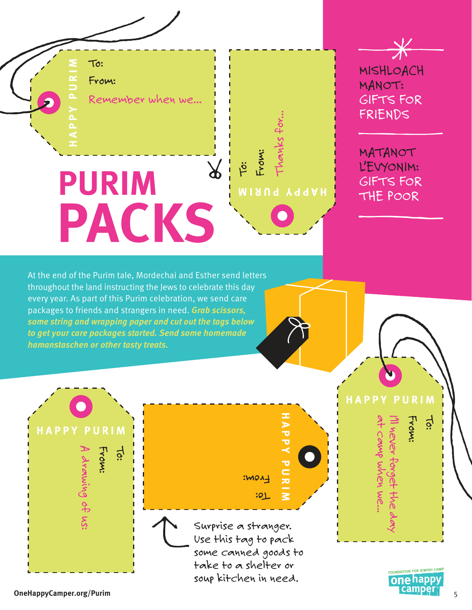To:

From:

*Remember when we...*

## **PURIM PACKS**

 $\cancel{\times}$ *MISHLOACH MANOT: GIFTS FOR FRIENDS*

*MATANOT L'EVYONIM: GIFTS FOR THE POOR* 

At the end of the Purim tale, Mordechai and Esther send letters throughout the land instructing the Jews to celebrate this day every year. As part of this Purim celebration, we send care packages to friends and strangers in need. *Grab scissors, some string and wrapping paper and cut out the tags below to get your care packages started. Send some homemade hamanstaschen or other tasty treats.* 

**PURIM**<br> **ONEHAPPY PURIM**<br> **ONEHAPPY PURIM**<br> **ONEHAPPY PURIM**<br> **ONEHAPPY PURIM**<br> **ONEHAPPY PURIM**<br> **ONEHAPPY PURIM**<br> **ONEHAPPY PURIM**<br> **ONEHAPPY PURIM**<br> **ONEHAPPY PURIM**<br> **ONEHAPPY PURIM**<br> **ONEHAPPY PURIM**<br> **ONEHAPPY PURIM** *A drawing of us:*

*Surprise a stranger. Use this tag to pack some canned goods to take to a shelter or soup kitchen in need.*



*at camp when we...*

*I'll never forget the day*